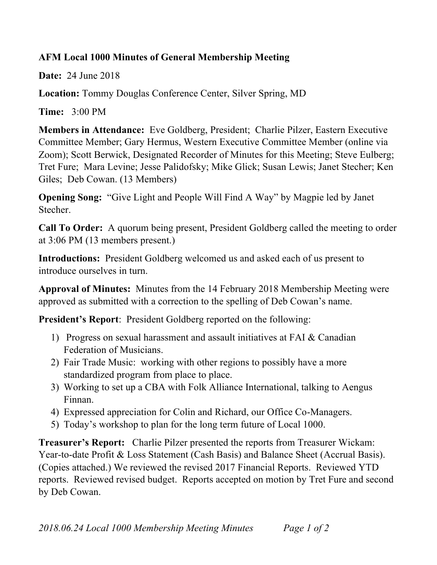## **AFM Local 1000 Minutes of General Membership Meeting**

**Date:** 24 June 2018

**Location:** Tommy Douglas Conference Center, Silver Spring, MD

**Time:** 3:00 PM

**Members in Attendance:** Eve Goldberg, President; Charlie Pilzer, Eastern Executive Committee Member; Gary Hermus, Western Executive Committee Member (online via Zoom); Scott Berwick, Designated Recorder of Minutes for this Meeting; Steve Eulberg; Tret Fure; Mara Levine; Jesse Palidofsky; Mike Glick; Susan Lewis; Janet Stecher; Ken Giles; Deb Cowan. (13 Members)

**Opening Song:** "Give Light and People Will Find A Way" by Magpie led by Janet **Stecher** 

**Call To Order:** A quorum being present, President Goldberg called the meeting to order at 3:06 PM (13 members present.)

**Introductions:** President Goldberg welcomed us and asked each of us present to introduce ourselves in turn.

**Approval of Minutes:** Minutes from the 14 February 2018 Membership Meeting were approved as submitted with a correction to the spelling of Deb Cowan's name.

**President's Report:** President Goldberg reported on the following:

- 1) Progress on sexual harassment and assault initiatives at FAI & Canadian Federation of Musicians.
- 2) Fair Trade Music: working with other regions to possibly have a more standardized program from place to place.
- 3) Working to set up a CBA with Folk Alliance International, talking to Aengus Finnan.
- 4) Expressed appreciation for Colin and Richard, our Office Co-Managers.
- 5) Today's workshop to plan for the long term future of Local 1000.

**Treasurer's Report:** Charlie Pilzer presented the reports from Treasurer Wickam: Year-to-date Profit & Loss Statement (Cash Basis) and Balance Sheet (Accrual Basis). (Copies attached.) We reviewed the revised 2017 Financial Reports. Reviewed YTD reports. Reviewed revised budget. Reports accepted on motion by Tret Fure and second by Deb Cowan.